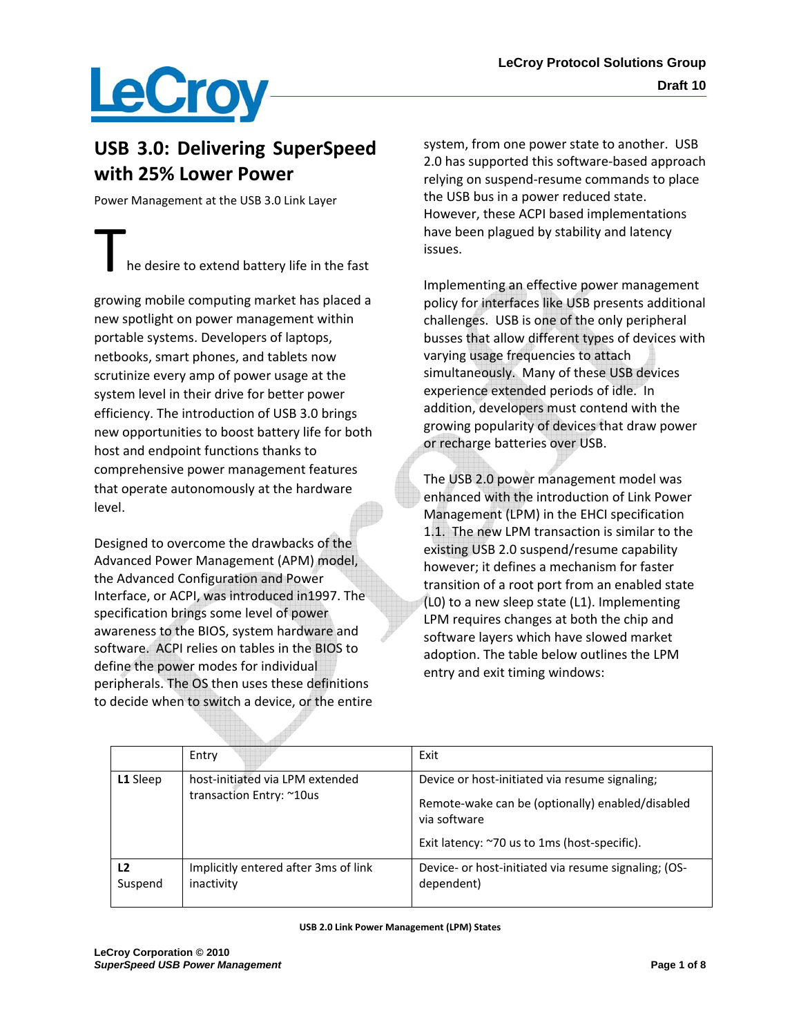## **LeCroy**

## **USB 3.0: Delivering SuperSpeed with 25% Lower Power**

Power Management at the USB 3.0 Link Layer

he desire to extend battery life in the fast

growing mobile computing market has placed a new spotlight on power management within portable systems. Developers of laptops, netbooks, smart phones, and tablets now scrutinize every amp of power usage at the system level in their drive for better power efficiency. The introduction of USB 3.0 brings new opportunities to boost battery life for both host and endpoint functions thanks to comprehensive power management features that operate autonomously at the hardware level.

Designed to overcome the drawbacks of the Advanced Power Management (APM) model, the Advanced Configuration and Power Interface, or ACPI, was introduced in1997. The specification brings some level of power awareness to the BIOS, system hardware and software. ACPI relies on tables in the BIOS to define the power modes for individual peripherals. The OS then uses these definitions to decide when to switch a device, or the entire

system, from one power state to another. USB 2.0 has supported this software‐based approach relying on suspend‐resume commands to place the USB bus in a power reduced state. However, these ACPI based implementations have been plagued by stability and latency issues.

Implementing an effective power management policy for interfaces like USB presents additional challenges. USB is one of the only peripheral busses that allow different types of devices with varying usage frequencies to attach simultaneously. Many of these USB devices experience extended periods of idle. In addition, developers must contend with the growing popularity of devices that draw power or recharge batteries over USB.

The USB 2.0 power management model was enhanced with the introduction of Link Power Management (LPM) in the EHCI specification 1.1. The new LPM transaction is similar to the existing USB 2.0 suspend/resume capability however; it defines a mechanism for faster transition of a root port from an enabled state (L0) to a new sleep state (L1). Implementing LPM requires changes at both the chip and software layers which have slowed market adoption. The table below outlines the LPM entry and exit timing windows:

|               | Entry                                                       | Exit                                                                                                                                                               |
|---------------|-------------------------------------------------------------|--------------------------------------------------------------------------------------------------------------------------------------------------------------------|
| L1 Sleep      | host-initiated via LPM extended<br>transaction Entry: ~10us | Device or host-initiated via resume signaling;<br>Remote-wake can be (optionally) enabled/disabled<br>via software<br>Exit latency: ~70 us to 1ms (host-specific). |
| L2<br>Suspend | Implicitly entered after 3ms of link<br>inactivity          | Device- or host-initiated via resume signaling; (OS-<br>dependent)                                                                                                 |

#### **USB 2.0 Link Power Management (LPM) States**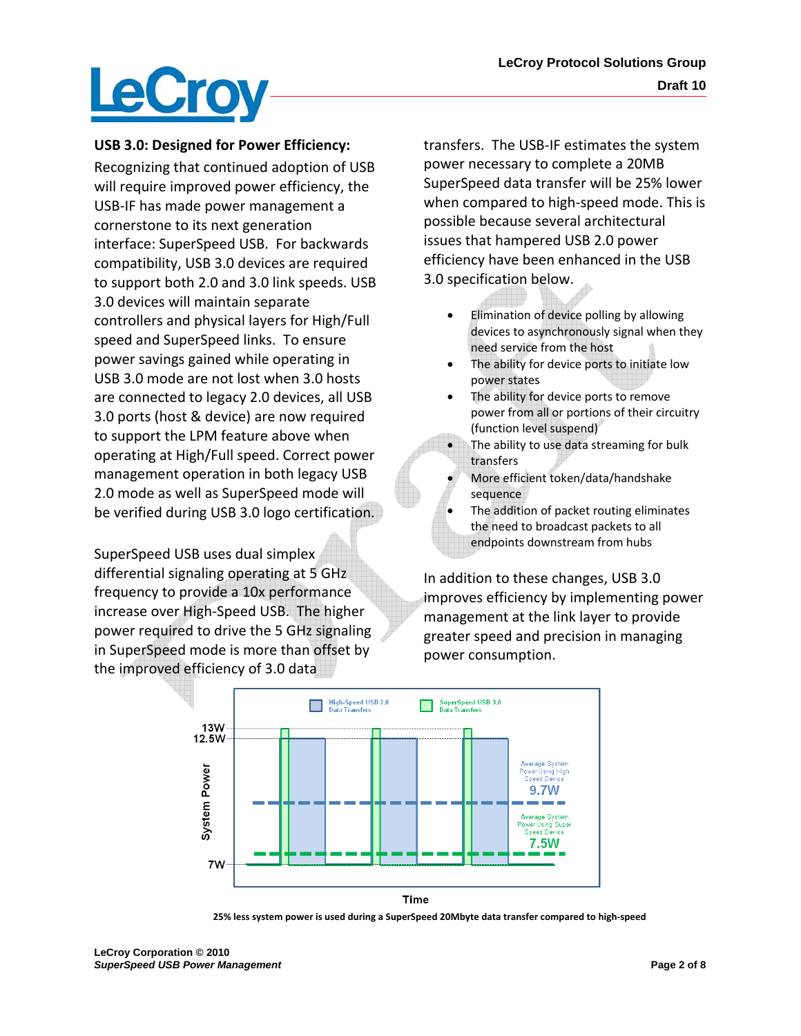

#### **USB 3.0: Designed for Power Efficiency:**

Recognizing that continued adoption of USB will require improved power efficiency, the USB‐IF has made power management a cornerstone to its next generation interface: SuperSpeed USB. For backwards compatibility, USB 3.0 devices are required to support both 2.0 and 3.0 link speeds. USB 3.0 devices will maintain separate controllers and physical layers for High/Full speed and SuperSpeed links. To ensure power savings gained while operating in USB 3.0 mode are not lost when 3.0 hosts are connected to legacy 2.0 devices, all USB 3.0 ports (host & device) are now required to support the LPM feature above when operating at High/Full speed. Correct power management operation in both legacy USB 2.0 mode as well as SuperSpeed mode will be verified during USB 3.0 logo certification.

SuperSpeed USB uses dual simplex differential signaling operating at 5 GHz frequency to provide a 10x performance increase over High‐Speed USB. The higher power required to drive the 5 GHz signaling in SuperSpeed mode is more than offset by the improved efficiency of 3.0 data

transfers. The USB‐IF estimates the system power necessary to complete a 20MB SuperSpeed data transfer will be 25% lower when compared to high-speed mode. This is possible because several architectural issues that hampered USB 2.0 power efficiency have been enhanced in the USB 3.0 specification below.

- Elimination of device polling by allowing devices to asynchronously signal when they need service from the host
- The ability for device ports to initiate low power states
- The ability for device ports to remove power from all or portions of their circuitry (function level suspend)
- The ability to use data streaming for bulk transfers
- More efficient token/data/handshake sequence
- The addition of packet routing eliminates the need to broadcast packets to all endpoints downstream from hubs

In addition to these changes, USB 3.0 improves efficiency by implementing power management at the link layer to provide greater speed and precision in managing power consumption.



**25% less system power is used during a SuperSpeed 20Mbyte data transfer compared to high‐speed**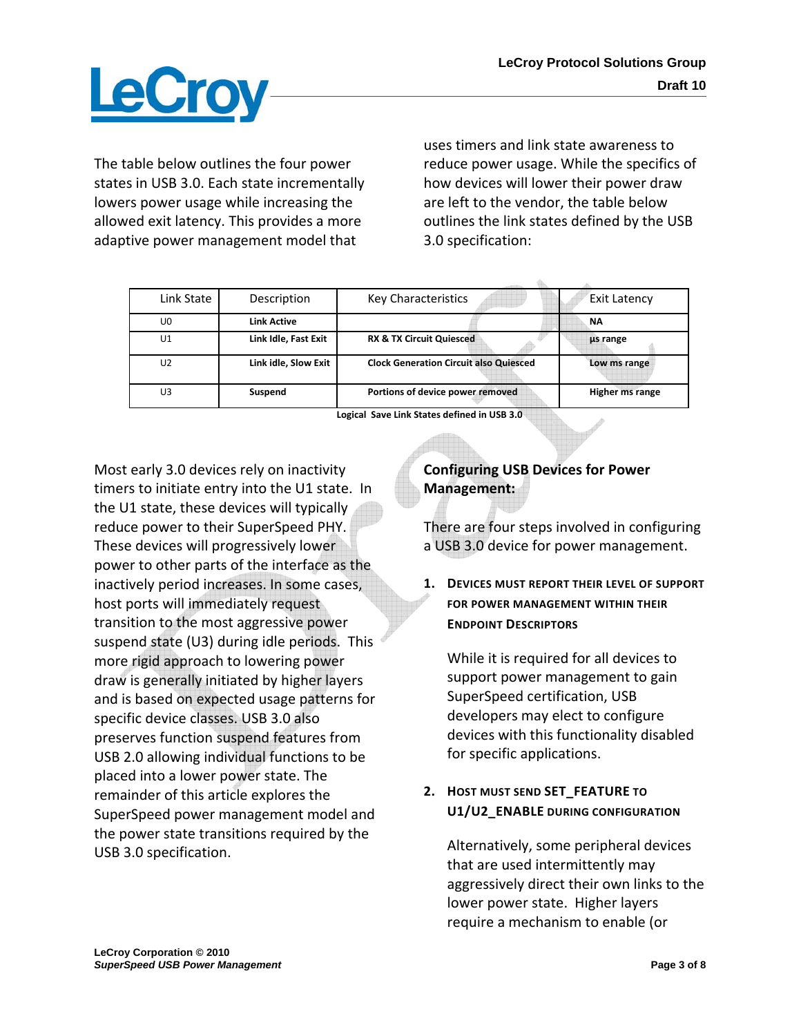

The table below outlines the four power states in USB 3.0. Each state incrementally lowers power usage while increasing the allowed exit latency. This provides a more adaptive power management model that

uses timers and link state awareness to reduce power usage. While the specifics of how devices will lower their power draw are left to the vendor, the table below outlines the link states defined by the USB 3.0 specification:

| Link State     | Description          | Key Characteristics                           | <b>Exit Latency</b> |
|----------------|----------------------|-----------------------------------------------|---------------------|
| U0             | Link Active          |                                               | NΑ                  |
| U <sub>1</sub> | Link Idle, Fast Exit | <b>RX &amp; TX Circuit Quiesced</b>           | us range            |
| U <sub>2</sub> | Link idle, Slow Exit | <b>Clock Generation Circuit also Quiesced</b> | Low ms range        |
| U3             | Suspend              | Portions of device power removed              | Higher ms range     |

**Logical Save Link States defined in USB 3.0** 

Most early 3.0 devices rely on inactivity timers to initiate entry into the U1 state. In the U1 state, these devices will typically reduce power to their SuperSpeed PHY. These devices will progressively lower power to other parts of the interface as the inactively period increases. In some cases, host ports will immediately request transition to the most aggressive power suspend state (U3) during idle periods. This more rigid approach to lowering power draw is generally initiated by higher layers and is based on expected usage patterns for specific device classes. USB 3.0 also preserves function suspend features from USB 2.0 allowing individual functions to be placed into a lower power state. The remainder of this article explores the SuperSpeed power management model and the power state transitions required by the USB 3.0 specification.

### **Configuring USB Devices for Power Management:**

There are four steps involved in configuring a USB 3.0 device for power management.

**1. DEVICES MUST REPORT THEIR LEVEL OF SUPPORT FOR POWER MANAGEMENT WITHIN THEIR ENDPOINT DESCRIPTORS**

While it is required for all devices to support power management to gain SuperSpeed certification, USB developers may elect to configure devices with this functionality disabled for specific applications.

### **2. HOST MUST SEND SET\_FEATURE TO U1/U2\_ENABLE DURING CONFIGURATION**

Alternatively, some peripheral devices that are used intermittently may aggressively direct their own links to the lower power state. Higher layers require a mechanism to enable (or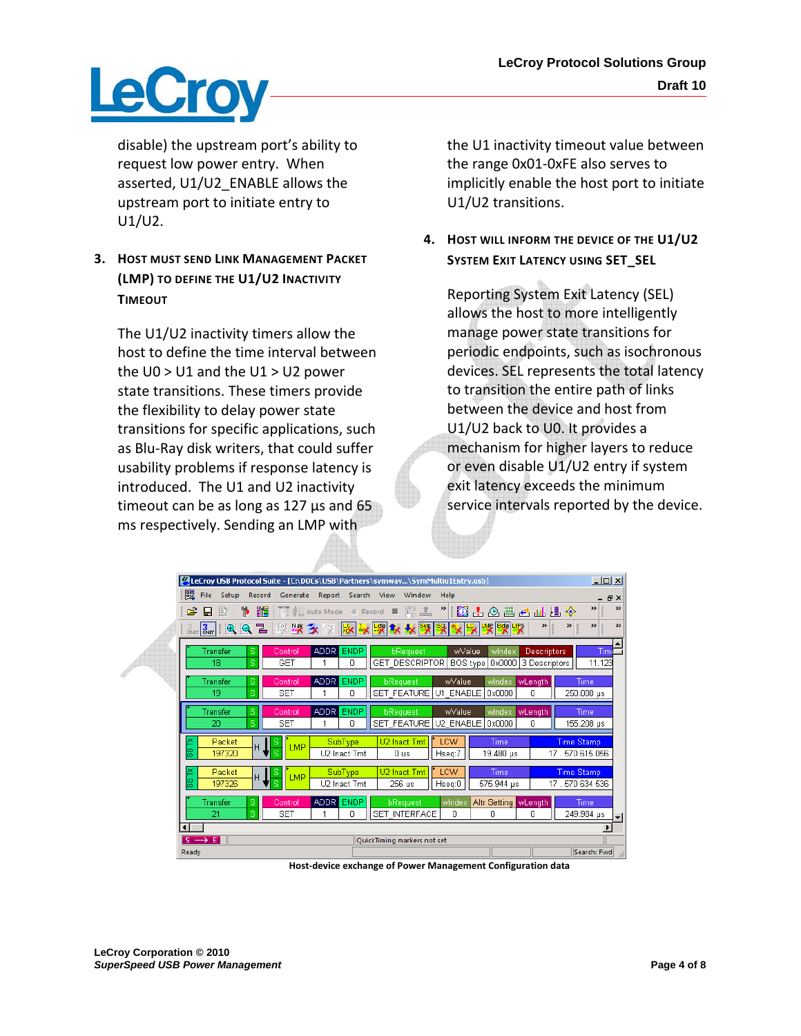

disable) the upstream port's ability to request low power entry. When asserted, U1/U2\_ENABLE allows the upstream port to initiate entry to U1/U2.

**3. HOST MUST SEND LINK MANAGEMENT PACKET (LMP) TO DEFINE THE U1/U2 INACTIVITY TIMEOUT**

The U1/U2 inactivity timers allow the host to define the time interval between the U0 > U1 and the U1 > U2 power state transitions. These timers provide the flexibility to delay power state transitions for specific applications, such as Blu‐Ray disk writers, that could suffer usability problems if response latency is introduced. The U1 and U2 inactivity timeout can be as long as 127 µs and 65 ms respectively. Sending an LMP with

the U1 inactivity timeout value between the range 0x01‐0xFE also serves to implicitly enable the host port to initiate U1/U2 transitions.

### **4. HOST WILL INFORM THE DEVICE OF THE U1/U2 SYSTEM EXIT LATENCY USING SET\_SEL**

Reporting System Exit Latency (SEL) allows the host to more intelligently manage power state transitions for periodic endpoints, such as isochronous devices. SEL represents the total latency to transition the entire path of links between the device and host from U1/U2 back to U0. It provides a mechanism for higher layers to reduce or even disable U1/U2 entry if system exit latency exceeds the minimum service intervals reported by the device.



**Host‐device exchange of Power Management Configuration data**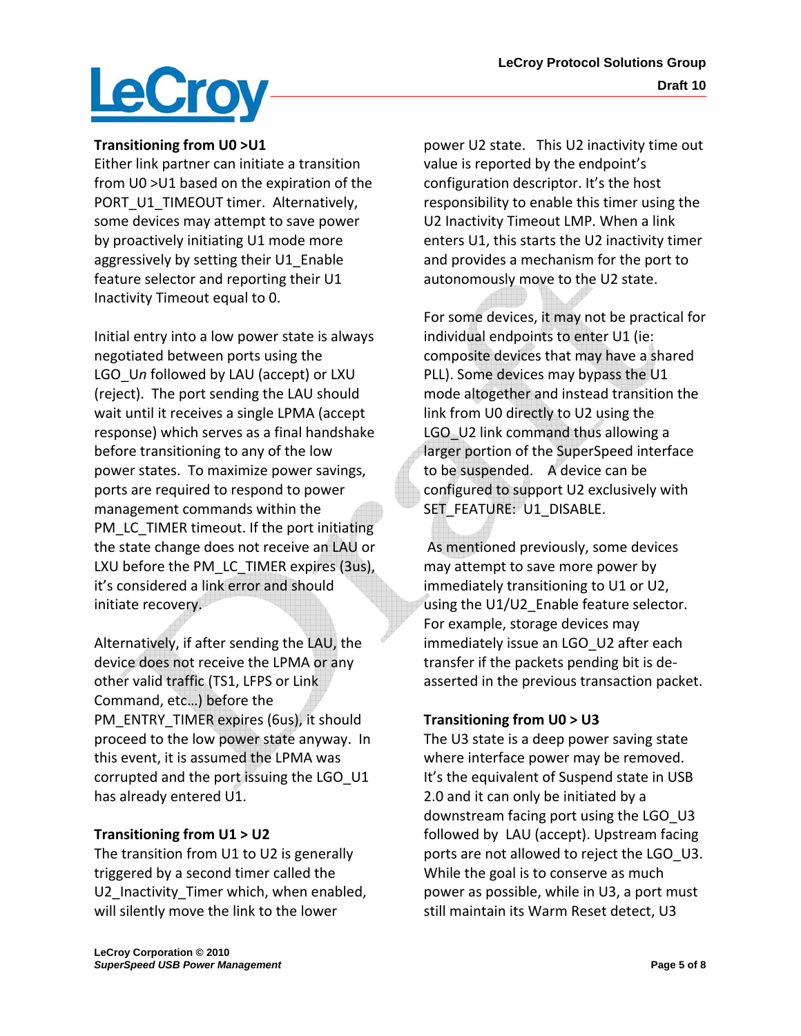

#### **Transitioning from U0 >U1**

Either link partner can initiate a transition from U0 >U1 based on the expiration of the PORT\_U1\_TIMEOUT timer. Alternatively, some devices may attempt to save power by proactively initiating U1 mode more aggressively by setting their U1\_Enable feature selector and reporting their U1 Inactivity Timeout equal to 0.

Initial entry into a low power state is always negotiated between ports using the LGO\_U*n* followed by LAU (accept) or LXU (reject). The port sending the LAU should wait until it receives a single LPMA (accept response) which serves as a final handshake before transitioning to any of the low power states. To maximize power savings, ports are required to respond to power management commands within the PM\_LC\_TIMER timeout. If the port initiating the state change does not receive an LAU or LXU before the PM\_LC\_TIMER expires (3us), it's considered a link error and should initiate recovery.

Alternatively, if after sending the LAU, the device does not receive the LPMA or any other valid traffic (TS1, LFPS or Link Command, etc…) before the PM\_ENTRY\_TIMER expires (6us), it should proceed to the low power state anyway. In this event, it is assumed the LPMA was corrupted and the port issuing the LGO\_U1 has already entered U1.

#### **Transitioning from U1 > U2**

The transition from U1 to U2 is generally triggered by a second timer called the U2 Inactivity Timer which, when enabled, will silently move the link to the lower

power U2 state. This U2 inactivity time out value is reported by the endpoint's configuration descriptor. It's the host responsibility to enable this timer using the U2 Inactivity Timeout LMP. When a link enters U1, this starts the U2 inactivity timer and provides a mechanism for the port to autonomously move to the U2 state.

For some devices, it may not be practical for individual endpoints to enter U1 (ie: composite devices that may have a shared PLL). Some devices may bypass the U1 mode altogether and instead transition the link from U0 directly to U2 using the LGO U2 link command thus allowing a larger portion of the SuperSpeed interface to be suspended. A device can be configured to support U2 exclusively with SET\_FEATURE: U1\_DISABLE.

As mentioned previously, some devices may attempt to save more power by immediately transitioning to U1 or U2, using the U1/U2 Enable feature selector. For example, storage devices may immediately issue an LGO U2 after each transfer if the packets pending bit is de‐ asserted in the previous transaction packet.

#### **Transitioning from U0 > U3**

The U3 state is a deep power saving state where interface power may be removed. It's the equivalent of Suspend state in USB 2.0 and it can only be initiated by a downstream facing port using the LGO U3 followed by LAU (accept). Upstream facing ports are not allowed to reject the LGO U3. While the goal is to conserve as much power as possible, while in U3, a port must still maintain its Warm Reset detect, U3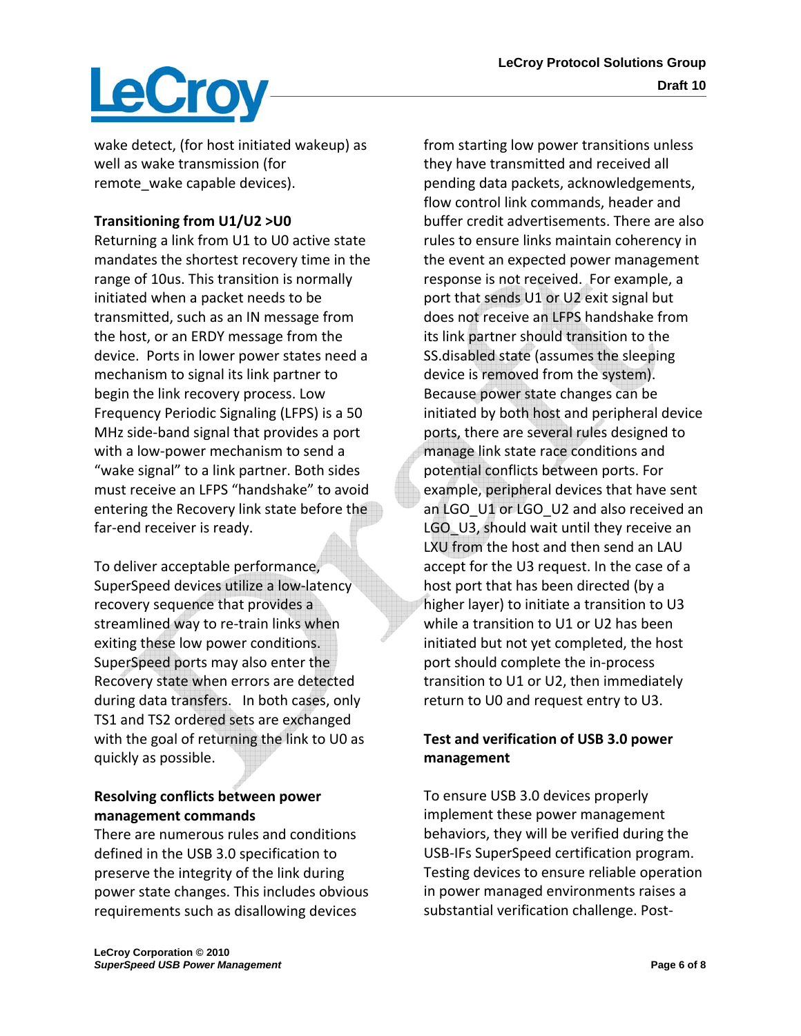# LeCroy

wake detect, (for host initiated wakeup) as well as wake transmission (for remote wake capable devices).

## **Transitioning from U1/U2 >U0**

Returning a link from U1 to U0 active state mandates the shortest recovery time in the range of 10us. This transition is normally initiated when a packet needs to be transmitted, such as an IN message from the host, or an ERDY message from the device. Ports in lower power states need a mechanism to signal its link partner to begin the link recovery process. Low Frequency Periodic Signaling (LFPS) is a 50 MHz side‐band signal that provides a port with a low‐power mechanism to send a "wake signal" to a link partner. Both sides must receive an LFPS "handshake" to avoid entering the Recovery link state before the far‐end receiver is ready.

To deliver acceptable performance, SuperSpeed devices utilize a low‐latency recovery sequence that provides a streamlined way to re‐train links when exiting these low power conditions. SuperSpeed ports may also enter the Recovery state when errors are detected during data transfers. In both cases, only TS1 and TS2 ordered sets are exchanged with the goal of returning the link to U0 as quickly as possible.

## **Resolving conflicts between power management commands**

There are numerous rules and conditions defined in the USB 3.0 specification to preserve the integrity of the link during power state changes. This includes obvious requirements such as disallowing devices

from starting low power transitions unless they have transmitted and received all pending data packets, acknowledgements, flow control link commands, header and buffer credit advertisements. There are also rules to ensure links maintain coherency in the event an expected power management response is not received. For example, a port that sends U1 or U2 exit signal but does not receive an LFPS handshake from its link partner should transition to the SS.disabled state (assumes the sleeping device is removed from the system). Because power state changes can be initiated by both host and peripheral device ports, there are several rules designed to manage link state race conditions and potential conflicts between ports. For example, peripheral devices that have sent an LGO U1 or LGO U2 and also received an LGO\_U3, should wait until they receive an LXU from the host and then send an LAU accept for the U3 request. In the case of a host port that has been directed (by a higher layer) to initiate a transition to U3 while a transition to U1 or U2 has been initiated but not yet completed, the host port should complete the in‐process transition to U1 or U2, then immediately return to U0 and request entry to U3.

## **Test and verification of USB 3.0 power management**

To ensure USB 3.0 devices properly implement these power management behaviors, they will be verified during the USB‐IFs SuperSpeed certification program. Testing devices to ensure reliable operation in power managed environments raises a substantial verification challenge. Post‐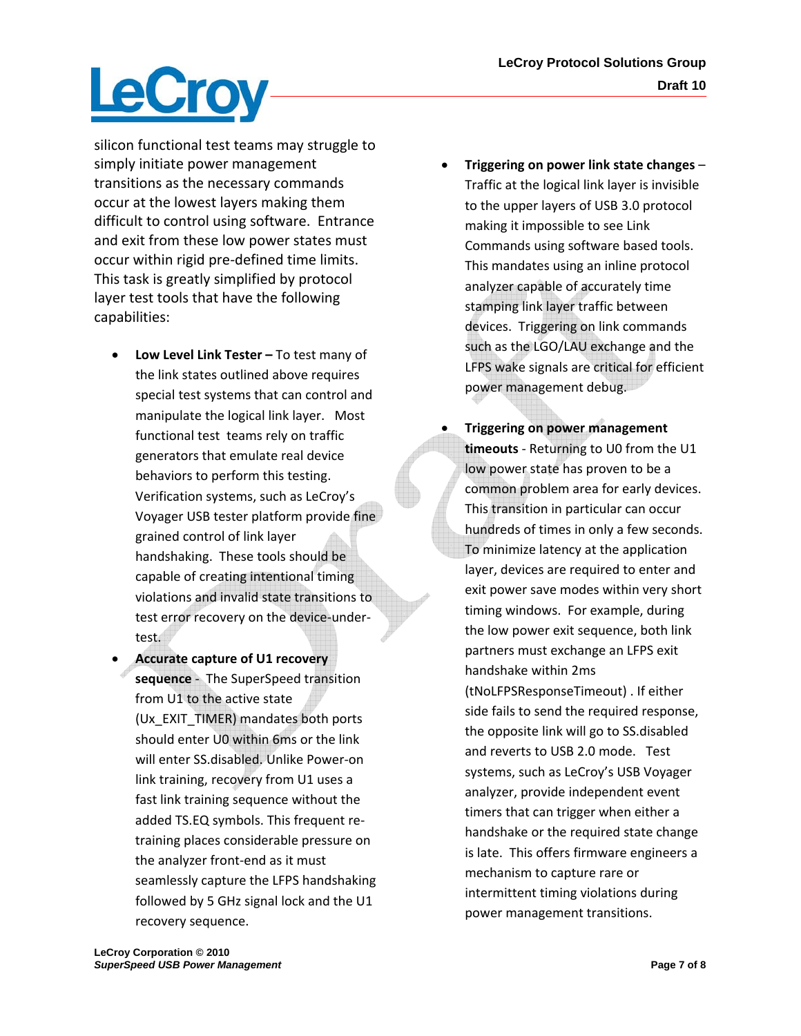# **LeCroy**

silicon functional test teams may struggle to simply initiate power management transitions as the necessary commands occur at the lowest layers making them difficult to control using software. Entrance and exit from these low power states must occur within rigid pre‐defined time limits. This task is greatly simplified by protocol layer test tools that have the following capabilities:

- **Low Level Link Tester –** To test many of the link states outlined above requires special test systems that can control and manipulate the logical link layer. Most functional test teams rely on traffic generators that emulate real device behaviors to perform this testing. Verification systems, such as LeCroy's Voyager USB tester platform provide fine grained control of link layer handshaking. These tools should be capable of creating intentional timing violations and invalid state transitions to test error recovery on the device‐under‐ test.
- **Accurate capture of U1 recovery sequence** ‐ The SuperSpeed transition from U1 to the active state (Ux\_EXIT\_TIMER) mandates both ports should enter U0 within 6ms or the link will enter SS.disabled. Unlike Power‐on link training, recovery from U1 uses a fast link training sequence without the added TS.EQ symbols. This frequent re‐ training places considerable pressure on the analyzer front‐end as it must seamlessly capture the LFPS handshaking followed by 5 GHz signal lock and the U1 recovery sequence.
- **Triggering on power link state changes** Traffic at the logical link layer is invisible to the upper layers of USB 3.0 protocol making it impossible to see Link Commands using software based tools. This mandates using an inline protocol analyzer capable of accurately time stamping link layer traffic between devices. Triggering on link commands such as the LGO/LAU exchange and the LFPS wake signals are critical for efficient power management debug.
- **Triggering on power management timeouts** ‐ Returning to U0 from the U1 low power state has proven to be a common problem area for early devices. This transition in particular can occur hundreds of times in only a few seconds. To minimize latency at the application layer, devices are required to enter and exit power save modes within very short timing windows. For example, during the low power exit sequence, both link partners must exchange an LFPS exit handshake within 2ms (tNoLFPSResponseTimeout) . If either side fails to send the required response, the opposite link will go to SS.disabled and reverts to USB 2.0 mode. Test systems, such as LeCroy's USB Voyager analyzer, provide independent event timers that can trigger when either a handshake or the required state change is late. This offers firmware engineers a mechanism to capture rare or intermittent timing violations during power management transitions.